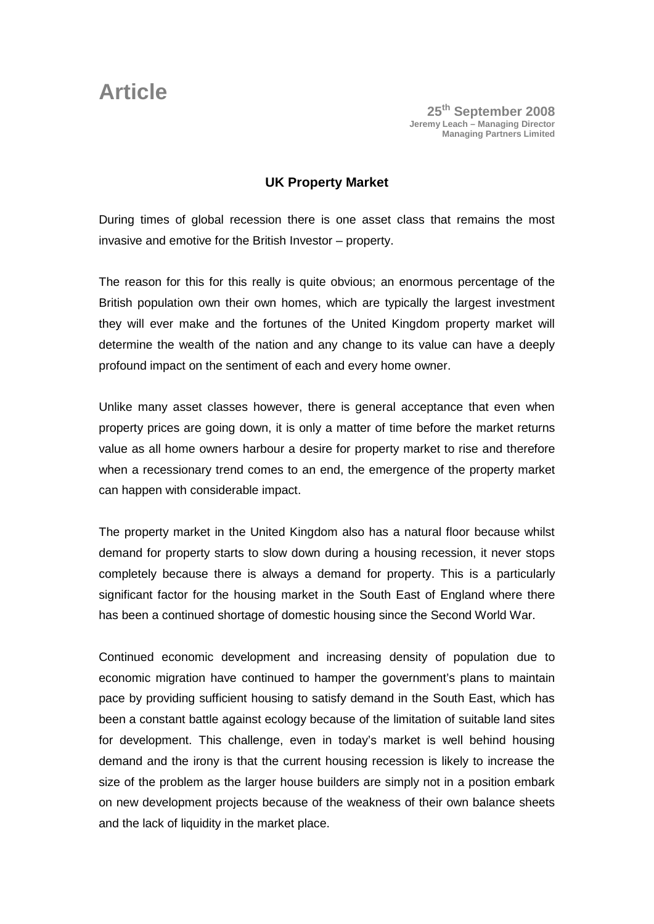Article 2008 **Jeremy Leach – Managing Director Managing Partners Limited**

## **UK Property Market**

During times of global recession there is one asset class that remains the most invasive and emotive for the British Investor – property.

The reason for this for this really is quite obvious; an enormous percentage of the British population own their own homes, which are typically the largest investment they will ever make and the fortunes of the United Kingdom property market will determine the wealth of the nation and any change to its value can have a deeply profound impact on the sentiment of each and every home owner.

Unlike many asset classes however, there is general acceptance that even when property prices are going down, it is only a matter of time before the market returns value as all home owners harbour a desire for property market to rise and therefore when a recessionary trend comes to an end, the emergence of the property market can happen with considerable impact.

The property market in the United Kingdom also has a natural floor because whilst demand for property starts to slow down during a housing recession, it never stops completely because there is always a demand for property. This is a particularly significant factor for the housing market in the South East of England where there has been a continued shortage of domestic housing since the Second World War.

Continued economic development and increasing density of population due to economic migration have continued to hamper the government's plans to maintain pace by providing sufficient housing to satisfy demand in the South East, which has been a constant battle against ecology because of the limitation of suitable land sites for development. This challenge, even in today's market is well behind housing demand and the irony is that the current housing recession is likely to increase the size of the problem as the larger house builders are simply not in a position embark on new development projects because of the weakness of their own balance sheets and the lack of liquidity in the market place.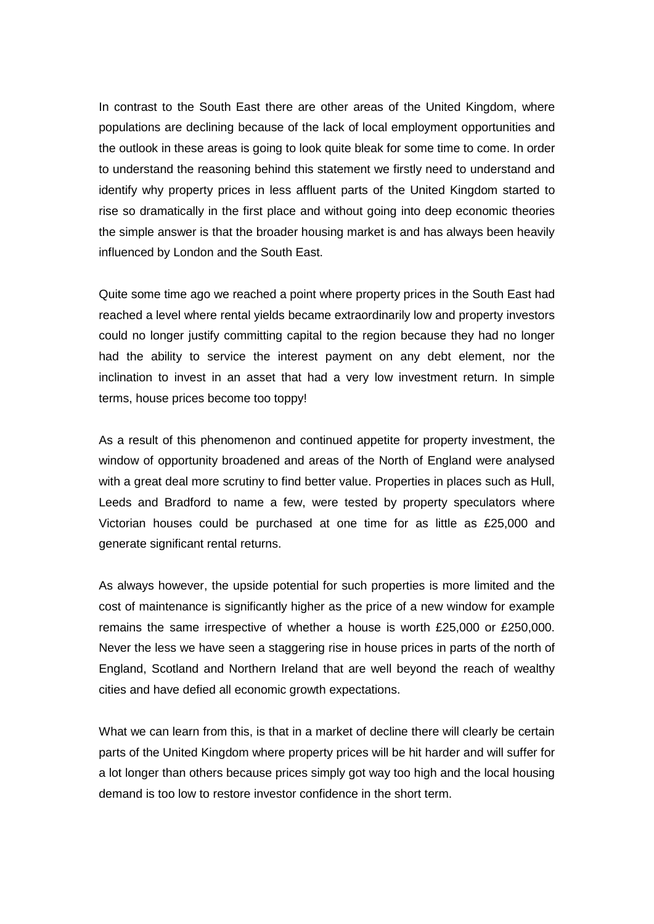In contrast to the South East there are other areas of the United Kingdom, where populations are declining because of the lack of local employment opportunities and the outlook in these areas is going to look quite bleak for some time to come. In order to understand the reasoning behind this statement we firstly need to understand and identify why property prices in less affluent parts of the United Kingdom started to rise so dramatically in the first place and without going into deep economic theories the simple answer is that the broader housing market is and has always been heavily influenced by London and the South East.

Quite some time ago we reached a point where property prices in the South East had reached a level where rental yields became extraordinarily low and property investors could no longer justify committing capital to the region because they had no longer had the ability to service the interest payment on any debt element, nor the inclination to invest in an asset that had a very low investment return. In simple terms, house prices become too toppy!

As a result of this phenomenon and continued appetite for property investment, the window of opportunity broadened and areas of the North of England were analysed with a great deal more scrutiny to find better value. Properties in places such as Hull, Leeds and Bradford to name a few, were tested by property speculators where Victorian houses could be purchased at one time for as little as £25,000 and generate significant rental returns.

As always however, the upside potential for such properties is more limited and the cost of maintenance is significantly higher as the price of a new window for example remains the same irrespective of whether a house is worth £25,000 or £250,000. Never the less we have seen a staggering rise in house prices in parts of the north of England, Scotland and Northern Ireland that are well beyond the reach of wealthy cities and have defied all economic growth expectations.

What we can learn from this, is that in a market of decline there will clearly be certain parts of the United Kingdom where property prices will be hit harder and will suffer for a lot longer than others because prices simply got way too high and the local housing demand is too low to restore investor confidence in the short term.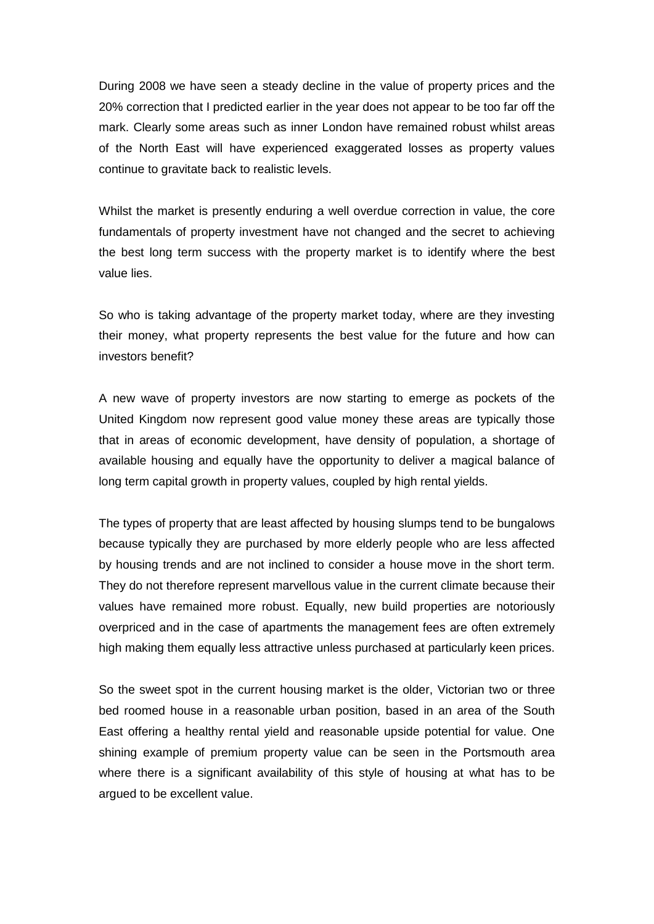During 2008 we have seen a steady decline in the value of property prices and the 20% correction that I predicted earlier in the year does not appear to be too far off the mark. Clearly some areas such as inner London have remained robust whilst areas of the North East will have experienced exaggerated losses as property values continue to gravitate back to realistic levels.

Whilst the market is presently enduring a well overdue correction in value, the core fundamentals of property investment have not changed and the secret to achieving the best long term success with the property market is to identify where the best value lies.

So who is taking advantage of the property market today, where are they investing their money, what property represents the best value for the future and how can investors benefit?

A new wave of property investors are now starting to emerge as pockets of the United Kingdom now represent good value money these areas are typically those that in areas of economic development, have density of population, a shortage of available housing and equally have the opportunity to deliver a magical balance of long term capital growth in property values, coupled by high rental yields.

The types of property that are least affected by housing slumps tend to be bungalows because typically they are purchased by more elderly people who are less affected by housing trends and are not inclined to consider a house move in the short term. They do not therefore represent marvellous value in the current climate because their values have remained more robust. Equally, new build properties are notoriously overpriced and in the case of apartments the management fees are often extremely high making them equally less attractive unless purchased at particularly keen prices.

So the sweet spot in the current housing market is the older, Victorian two or three bed roomed house in a reasonable urban position, based in an area of the South East offering a healthy rental yield and reasonable upside potential for value. One shining example of premium property value can be seen in the Portsmouth area where there is a significant availability of this style of housing at what has to be argued to be excellent value.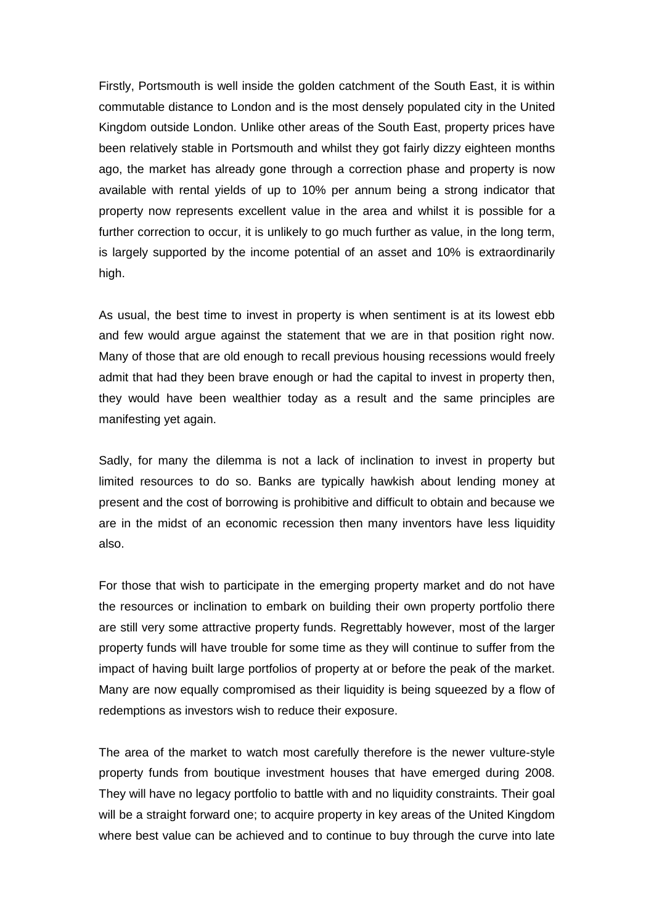Firstly, Portsmouth is well inside the golden catchment of the South East, it is within commutable distance to London and is the most densely populated city in the United Kingdom outside London. Unlike other areas of the South East, property prices have been relatively stable in Portsmouth and whilst they got fairly dizzy eighteen months ago, the market has already gone through a correction phase and property is now available with rental yields of up to 10% per annum being a strong indicator that property now represents excellent value in the area and whilst it is possible for a further correction to occur, it is unlikely to go much further as value, in the long term, is largely supported by the income potential of an asset and 10% is extraordinarily high.

As usual, the best time to invest in property is when sentiment is at its lowest ebb and few would argue against the statement that we are in that position right now. Many of those that are old enough to recall previous housing recessions would freely admit that had they been brave enough or had the capital to invest in property then, they would have been wealthier today as a result and the same principles are manifesting yet again.

Sadly, for many the dilemma is not a lack of inclination to invest in property but limited resources to do so. Banks are typically hawkish about lending money at present and the cost of borrowing is prohibitive and difficult to obtain and because we are in the midst of an economic recession then many inventors have less liquidity also.

For those that wish to participate in the emerging property market and do not have the resources or inclination to embark on building their own property portfolio there are still very some attractive property funds. Regrettably however, most of the larger property funds will have trouble for some time as they will continue to suffer from the impact of having built large portfolios of property at or before the peak of the market. Many are now equally compromised as their liquidity is being squeezed by a flow of redemptions as investors wish to reduce their exposure.

The area of the market to watch most carefully therefore is the newer vulture-style property funds from boutique investment houses that have emerged during 2008. They will have no legacy portfolio to battle with and no liquidity constraints. Their goal will be a straight forward one; to acquire property in key areas of the United Kingdom where best value can be achieved and to continue to buy through the curve into late